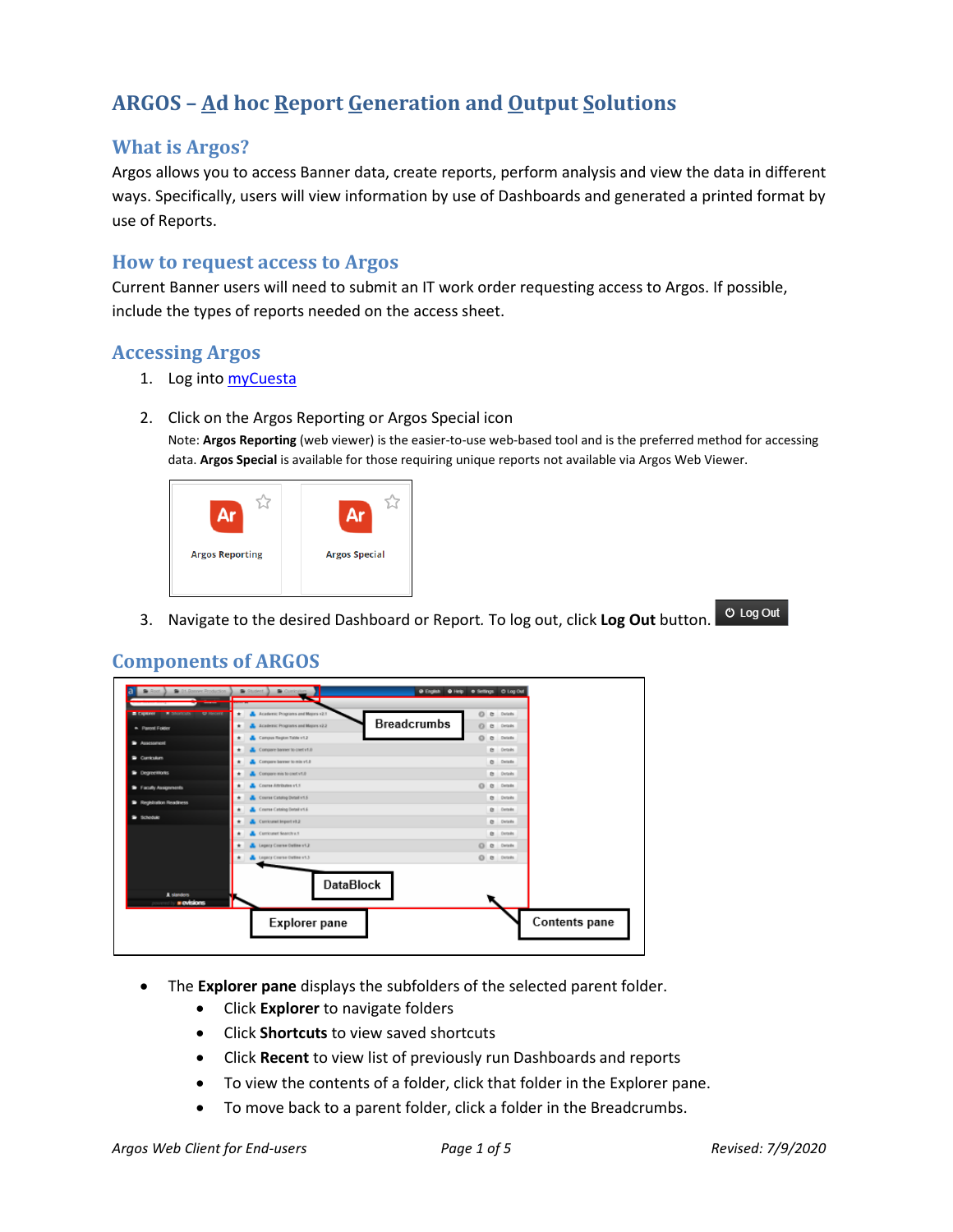# **ARGOS – Ad hoc Report Generation and Output Solutions**

# **What is Argos?**

Argos allows you to access Banner data, create reports, perform analysis and view the data in different ways. Specifically, users will view information by use of Dashboards and generated a printed format by use of Reports.

### **How to request access to Argos**

Current Banner users will need to submit an IT work order requesting access to Argos. If possible, include the types of reports needed on the access sheet.

# **Accessing Argos**

- 1. Log into [myCuesta](https://my.cuesta.edu/)
- 2. Click on the Argos Reporting or Argos Special icon

Note: **Argos Reporting** (web viewer) is the easier-to-use web-based tool and is the preferred method for accessing data. **Argos Special** is available for those requiring unique reports not available via Argos Web Viewer.



**ひ Log Out** 3. Navigate to the desired Dashboard or Report*.* To log out, click **Log Out** button.

# **Components of ARGOS**

| C 01-Ranner Production<br><b>Root</b>                   | Curioum<br>Student 3<br>@ English                            | O Help O Settings O Log Out |
|---------------------------------------------------------|--------------------------------------------------------------|-----------------------------|
| <b>E CARRIER TELEVISION CONTINUES INTO A PROTECTIVE</b> | Academic Programs and Majors v2.1<br>۰                       | O<br>G.<br>Details          |
| * Parent Folder                                         | <b>Breadcrumbs</b><br>Academic Programs and Majors v2.2<br>٠ | e.<br>Cetails.              |
| Assessment                                              | Campus Region Table v1.2<br>×                                | $\Omega$<br>G.<br>Details   |
| Curriculum                                              | Compare banner to cret v1.0<br>Compare barrer to mix v1.8    | e Details<br>C Details      |
| <b>Deprecisions</b>                                     | Concere mis to cost v1.0<br>۰                                | Ct Details                  |
| <sup>2</sup> Faculty Assignments                        | L. Course Attributes v1.1                                    | O O Details                 |
| <b>B</b> Registration Readiness                         | Course Catalog Detail v1.5<br>÷                              | Ct Details                  |
|                                                         | Course Catalog Detail v1.6                                   | <b>Q</b> Details            |
| <b>B</b> Schodule                                       | Curricural Import vit 2<br>۰                                 | C Details                   |
|                                                         | Carricuret Search u.S.<br>۰                                  | <b>Q</b> Details            |
|                                                         | Legacy Course Outline v1.2                                   | O a Details                 |
|                                                         | Legacy Course Outline v1.3                                   | O B Details                 |
| A standers<br><i><b>» evisions</b></i>                  | <b>DataBlock</b>                                             |                             |
|                                                         | <b>Explorer pane</b>                                         | Contents pane               |

- The **Explorer pane** displays the subfolders of the selected parent folder.
	- Click **Explorer** to navigate folders
	- Click **Shortcuts** to view saved shortcuts
	- Click **Recent** to view list of previously run Dashboards and reports
	- To view the contents of a folder, click that folder in the Explorer pane.
	- To move back to a parent folder, click a folder in the Breadcrumbs.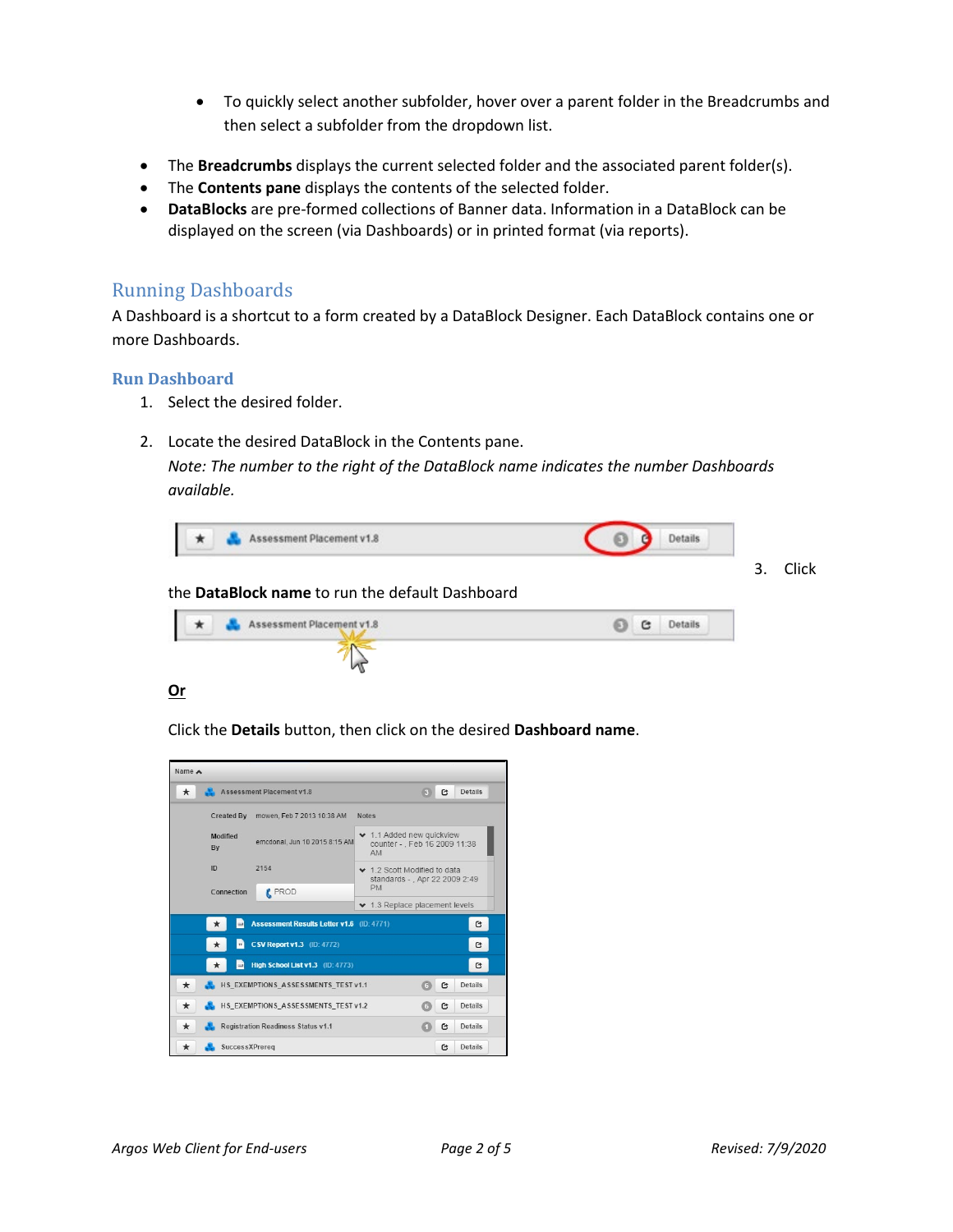- To quickly select another subfolder, hover over a parent folder in the Breadcrumbs and then select a subfolder from the dropdown list.
- The **Breadcrumbs** displays the current selected folder and the associated parent folder(s).
- The **Contents pane** displays the contents of the selected folder.
- **DataBlocks** are pre-formed collections of Banner data. Information in a DataBlock can be displayed on the screen (via Dashboards) or in printed format (via reports).

### Running Dashboards

A Dashboard is a shortcut to a form created by a DataBlock Designer. Each DataBlock contains one or more Dashboards.

#### **Run Dashboard**

- 1. Select the desired folder.
- 2. Locate the desired DataBlock in the Contents pane.

*Note: The number to the right of the DataBlock name indicates the number Dashboards available.*



#### the **DataBlock name** to run the default Dashboard

| Assessment Placement v1.8 | C,<br><b>Details</b> |
|---------------------------|----------------------|
|                           |                      |

#### **Or**

Click the **Details** button, then click on the desired **Dashboard name**.

| Name A                                                               |                                                  |                                                                   |  |  |
|----------------------------------------------------------------------|--------------------------------------------------|-------------------------------------------------------------------|--|--|
| $\star$                                                              | Assessment Placement v1.8                        | <b>Details</b><br>G<br>63                                         |  |  |
|                                                                      | Created By mowen, Feb 7 2013 10:38 AM            | <b>Notes</b>                                                      |  |  |
| <b>Modified</b><br>By                                                | emcdonal. Jun 10 2015 8:15 AM                    | ◆ 1.1 Added new quickview<br>counter - , Feb 16 2009 11:38<br>AM. |  |  |
| ID                                                                   | 2154                                             | ↓ 1.2 Scott Modified to data<br>standards - . Apr 22 2009 2:49    |  |  |
| Connection                                                           | <b>PROD</b>                                      | <b>PM</b>                                                         |  |  |
|                                                                      |                                                  | ◆ 1.3 Replace placement levels                                    |  |  |
| *                                                                    | <b>Assessment Results Letter v1.6</b> (ID: 4771) | G                                                                 |  |  |
| m                                                                    | <b>CSV Report v1.3</b> (ID: 4772)                | G                                                                 |  |  |
| $=$                                                                  | High School List v1.3 (ID: 4773)                 | $\mathbf{G}$                                                      |  |  |
| $\star$                                                              | HS EXEMPTIONS ASSESSMENTS TEST v1.1              | G<br>Details<br>6                                                 |  |  |
| $\star$                                                              | HS EXEMPTIONS ASSESSMENTS TEST v1.2              | G<br><b>Details</b><br>6                                          |  |  |
| <b>Registration Readiness Status v1.1</b><br>Details<br>$\star$<br>C |                                                  |                                                                   |  |  |
| SuccessXPrereg<br>*                                                  |                                                  | <b>Details</b><br>G                                               |  |  |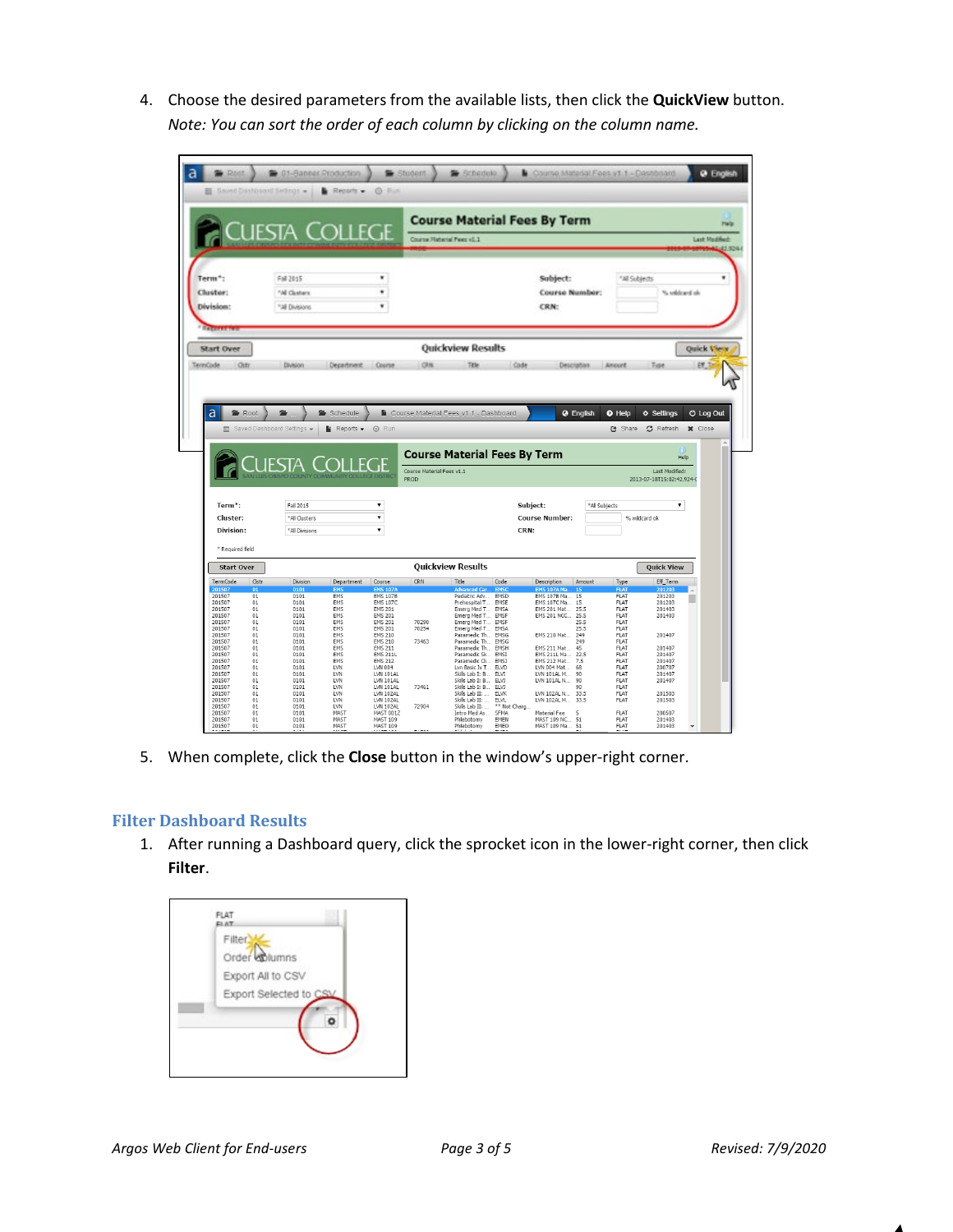4. Choose the desired parameters from the available lists, then click the **QuickView** button. *Note: You can sort the order of each column by clicking on the column name.*



5. When complete, click the **Close** button in the window's upper-right corner.

### **Filter Dashboard Results**

1. After running a Dashboard query, click the sprocket icon in the lower-right corner, then click **Filter**.

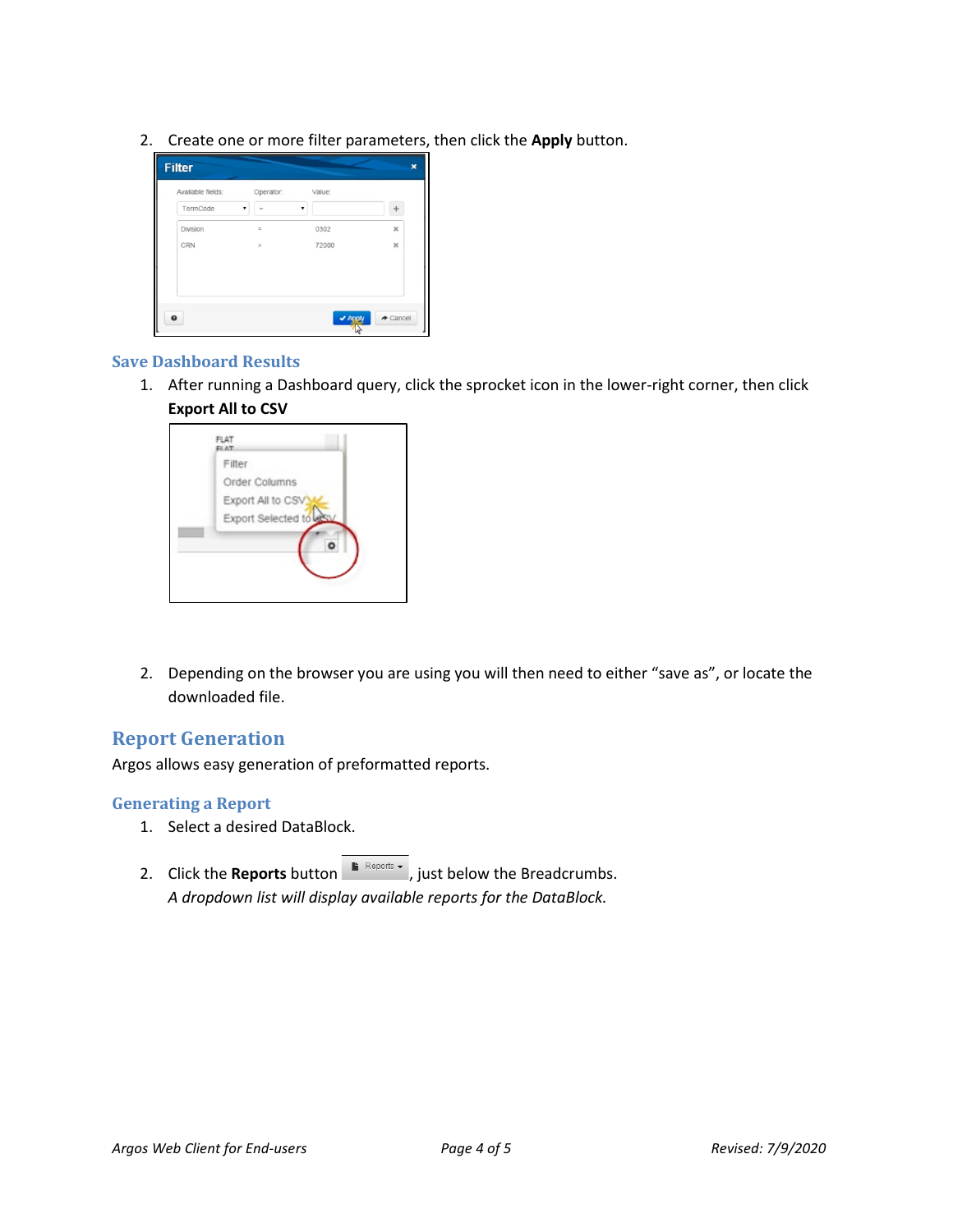2. Create one or more filter parameters, then click the **Apply** button.



#### **Save Dashboard Results**

1. After running a Dashboard query, click the sprocket icon in the lower-right corner, then click **Export All to CSV**



2. Depending on the browser you are using you will then need to either "save as", or locate the downloaded file.

# **Report Generation**

Argos allows easy generation of preformatted reports.

#### **Generating a Report**

- 1. Select a desired DataBlock.
- 2. Click the **Reports** button **F** Reports  $\cdot$  , just below the Breadcrumbs. *A dropdown list will display available reports for the DataBlock.*